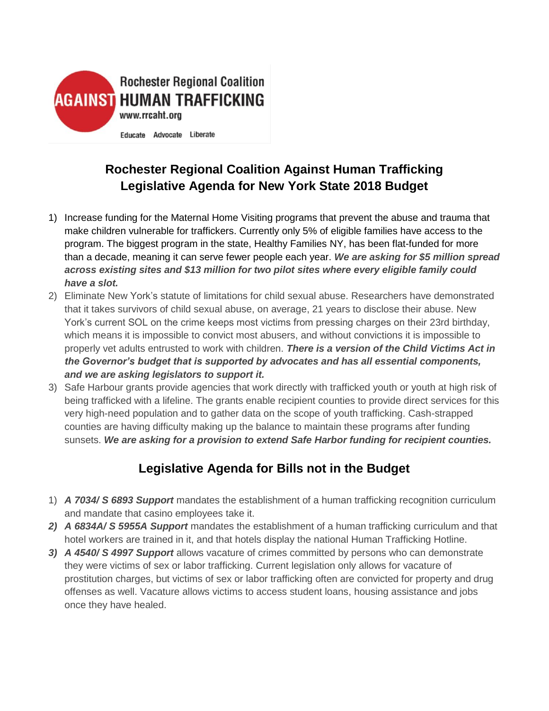

## **Rochester Regional Coalition Against Human Trafficking Legislative Agenda for New York State 2018 Budget**

- 1) Increase funding for the Maternal Home Visiting programs that prevent the abuse and trauma that make children vulnerable for traffickers. Currently only 5% of eligible families have access to the program. The biggest program in the state, Healthy Families NY, has been flat-funded for more than a decade, meaning it can serve fewer people each year. *We are asking for \$5 million spread across existing sites and \$13 million for two pilot sites where every eligible family could have a slot.*
- 2) Eliminate New York's statute of limitations for child sexual abuse. Researchers have demonstrated that it takes survivors of child sexual abuse, on average, 21 years to disclose their abuse. New York's current SOL on the crime keeps most victims from pressing charges on their 23rd birthday, which means it is impossible to convict most abusers, and without convictions it is impossible to properly vet adults entrusted to work with children. *There is a version of the Child Victims Act in the Governor's budget that is supported by advocates and has all essential components, and we are asking legislators to support it.*
- 3) Safe Harbour grants provide agencies that work directly with trafficked youth or youth at high risk of being trafficked with a lifeline. The grants enable recipient counties to provide direct services for this very high-need population and to gather data on the scope of youth trafficking. Cash-strapped counties are having difficulty making up the balance to maintain these programs after funding sunsets. *We are asking for a provision to extend Safe Harbor funding for recipient counties.*

## **Legislative Agenda for Bills not in the Budget**

- 1) *A 7034/ S 6893 Support* mandates the establishment of a human trafficking recognition curriculum and mandate that casino employees take it.
- *2) A 6834A/ S 5955A Support* mandates the establishment of a human trafficking curriculum and that hotel workers are trained in it, and that hotels display the national Human Trafficking Hotline.
- *3) A 4540/ S 4997 Support* allows vacature of crimes committed by persons who can demonstrate they were victims of sex or labor trafficking. Current legislation only allows for vacature of prostitution charges, but victims of sex or labor trafficking often are convicted for property and drug offenses as well. Vacature allows victims to access student loans, housing assistance and jobs once they have healed.